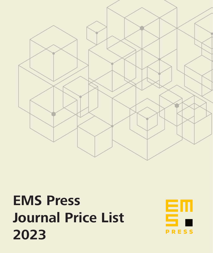

# **EMS Press Journal Price List 2023**

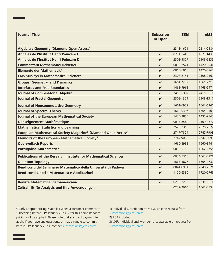| <b>Journal Title</b>                                                      | <b>Subscribe</b><br><b>To Open</b> | <b>ISSN</b> | elSSI     |
|---------------------------------------------------------------------------|------------------------------------|-------------|-----------|
|                                                                           |                                    |             |           |
| <b>Algebraic Geometry (Diamond Open Access)</b>                           |                                    | 2313-1691   | 2214-2584 |
| Annales de l'Institut Henri Poincaré C                                    | $\checkmark$                       | 0294-1449   | 1873-1430 |
| Annales de l'Institut Henri Poincaré D                                    | V                                  | 2308-5827   | 2308-5835 |
| <b>Commentarii Mathematici Helvetici</b>                                  | $\checkmark$                       | 0010-2571   | 1420-8946 |
| Elemente der Mathematik <sup>3</sup>                                      | ✓                                  | 0013-6018   | 1420-8962 |
| <b>EMS Surveys in Mathematical Sciences</b>                               | $\checkmark$                       | 2308-2151   | 2308-216) |
| <b>Groups, Geometry, and Dynamics</b>                                     | ✓                                  | 1661-7207   | 1661-7215 |
| <b>Interfaces and Free Boundaries</b>                                     | $\checkmark$                       | 1463-9963   | 1463-9971 |
| <b>Journal of Combinatorial Algebra</b>                                   | $\checkmark$                       | 2415-6302   | 2415-6310 |
| <b>Journal of Fractal Geometry</b>                                        | $\checkmark$                       | 2308-1309   | 2308-1317 |
| <b>Journal of Noncommutative Geometry</b>                                 | $\checkmark$                       | 1661-6952   | 1661-6960 |
| <b>Journal of Spectral Theory</b>                                         | $\checkmark$                       | 1664-039X   | 1664-0403 |
| Journal of the European Mathematical Society                              | $\checkmark$                       | 1435-9855   | 1435-9863 |
| L'Enseignement Mathématique                                               | V                                  | 0013-8584   | 2309-4672 |
| <b>Mathematical Statistics and Learning</b>                               | $\checkmark$                       | 2520-2316   | 2520-2324 |
| European Mathematical Society Magazine <sup>5</sup> (Diamond Open Access) |                                    | 2747-7894   | 2747-7908 |
| Memoirs of the European Mathematical Society <sup>6</sup>                 | $\checkmark$                       | 2747-9080   | 2747-9099 |
| <b>Oberwolfach Reports</b>                                                |                                    | 1660-8933   | 1660-894  |
| <b>Portugaliae Mathematica</b>                                            | $\checkmark$                       | 0032-5155   | 1662-2758 |
| <b>Publications of the Research Institute for Mathematical Sciences</b>   | $\checkmark$                       | 0034-5318   | 1663-4926 |
| <b>Quantum Topology</b>                                                   | $\checkmark$                       | 1663-487X   | 1664-073) |
| Rendiconti del Seminario Matematico della Università di Padova            | V                                  | 0041-8994   | 2240-2926 |
| Rendiconti Lincei - Matematica e Applicazioni <sup>4</sup>                | $\checkmark$                       | 1120-6330   | 1720-0768 |
| Revista Matemática Iberoamericana                                         | $\checkmark$                       | 0213-2230   | 2235-0616 |
| Zeitschrift für Analysis und ihre Anwendungen                             |                                    | 0232-2064   | 1661-4534 |

¶ Early adopter pricing is applied when a customer commits to subscribing before 31<sup>st</sup> January 2023. After this point standard pricing will be applied. Please note that standard payment terms apply. If you have any questions, or may struggle to commit before 31st January 2023, contact subscriptions@ems.press.

1) Individual subscription rates available on request from subscriptions@ems.press

2) P&P included

3) CHF, Individual and Member rates available on request from subscriptions@ems.press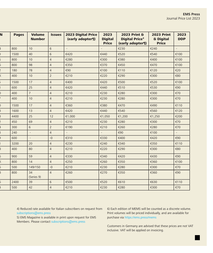| N | <b>Pages</b> | <b>Volume</b><br><b>Number</b> | <b>Issues</b>  | <b>2023 Digital Price</b><br>(early adopter¶) | 2023<br><b>Digital</b><br><b>Price</b> | 2023 Print &<br><b>Digital Price<sup>2</sup></b><br>(early adopter¶) | <b>2023 Print</b><br>& Digital<br><b>Price</b> | 2023<br><b>DDP</b> |
|---|--------------|--------------------------------|----------------|-----------------------------------------------|----------------------------------------|----------------------------------------------------------------------|------------------------------------------------|--------------------|
|   | 800          | 10 <sup>°</sup>                | $6\phantom{1}$ |                                               |                                        | €230                                                                 | €240                                           |                    |
|   | 1500         | 40                             | $\sqrt{6}$     | €420                                          | €440                                   | €520                                                                 | €540                                           | €100               |
|   | 800          | 10                             | $\overline{4}$ | €280                                          | €300                                   | €380                                                                 | €400                                           | €100               |
|   | 800          | 98                             | $\overline{4}$ | €350                                          | €370                                   | €450                                                                 | €470                                           | €100               |
|   | 180          | 78                             | $\overline{4}$ | €90                                           | €100                                   | €110                                                                 | €120                                           | €20                |
|   | 400          | 10                             | $\overline{2}$ | €210                                          | €220                                   | €290                                                                 | €300                                           | €80                |
|   | 1500         | 17                             | $\overline{4}$ | €400                                          | €420                                   | €500                                                                 | €520                                           | €100               |
|   | 600          | 25                             | $\overline{4}$ | €420                                          | €440                                   | €510                                                                 | €530                                           | €90                |
|   | 400          | $\overline{7}$                 | $\overline{4}$ | €210                                          | €230                                   | €280                                                                 | €300                                           | €70                |
|   | 400          | 10                             | $\overline{4}$ | €210                                          | €230                                   | €280                                                                 | €300                                           | €70                |
|   | 1500         | 17                             | $\overline{4}$ | €360                                          | €380                                   | €470                                                                 | €490                                           | €110               |
|   | 1600         | 13                             | $\overline{4}$ | €420                                          | €440                                   | €540                                                                 | €560                                           | €120               |
|   | 4400         | 25                             | 12             | €1,000                                        | €1,050                                 | €1,200                                                               | €1,250                                         | €200               |
|   | 450          | 69                             | $\overline{4}$ | €210                                          | €230                                   | €280                                                                 | €300                                           | €70                |
|   | 300          | 6                              | $\overline{2}$ | €190                                          | €210                                   | €260                                                                 | €280                                           | €70                |
|   | 240          |                                | $\overline{4}$ | $\sim$                                        | $\sim$                                 | €90                                                                  | €100                                           |                    |
|   | 600          |                                | $-0$           | €310                                          | €330                                   | €400                                                                 | €420                                           | €90                |
|   | 3200         | 20                             | $\overline{4}$ | €230                                          | €240                                   | €340                                                                 | €350                                           | €110               |
|   | 400          | 80                             | $\overline{4}$ | €210                                          | €220                                   | €290                                                                 | €300                                           | €80                |
|   | 900          | 59                             | $\overline{4}$ | €330                                          | €340                                   | €420                                                                 | €430                                           | €90                |
|   | 800          | 14                             | $\overline{4}$ | €250                                          | €260                                   | €350                                                                 | €360                                           | €100               |
|   | 500          | 149/150                        | $-0$           | €210                                          | €230                                   | €280                                                                 | €300                                           | €70                |
|   | 800          | 34<br>(Series 9)               | $\overline{4}$ | €260                                          | €270                                   | €350                                                                 | €360                                           | €90                |
|   | 2400         | 39                             | $6\phantom{1}$ | €500                                          | €520                                   | €610                                                                 | €630                                           | €110               |
|   | 500          | 42                             | $\overline{4}$ | €210                                          | €230                                   | €280                                                                 | €300                                           | €70                |

4) Reduced rate available for Italian subscribers on request from subscriptions@ems.press

5) EMS Magazine is available in print upon request for EMS Members. Please contact subscriptions@ems.press

6) Each edition of MEMS will be counted as a discrete volume. Print volumes will be priced individually, and are available for purchase via https://ems.press/mems

Customers in Germany are advised that these prices are not VAT inclusive. VAT will be applied on invoicing.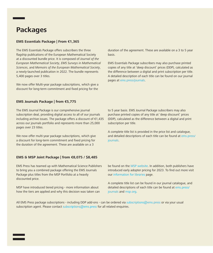## **Packages**

#### **EMS Essentials Package | From €1,365**

The EMS Essentials Package offers subscribers the three flagship publications of the European Mathematical Society at a discounted bundle price. It is composed of *Journal of the European Mathematical Society*, *EMS Surveys in Mathematical Sciences*, and *Memoirs of the European Mathematical Society*, a newly-launched publication in 2022. The bundle represents 5,400 pages over 3 titles.

We now offer Multi-year package subscriptions, which give a discount for long-term commitment and fixed pricing for the

duration of the agreement. These are available on a 3 to 5 year basis.

EMS Essentials Package subscribers may also purchase printed copies of any title at 'deep discount' prices (DDP), calculated as the difference between a digital and print subscription per title. A detailed description of each title can be found on our journal pages at ems.press/journals.

#### **EMS Journals Package | from €5,775**

The EMS Journal Package is our comprehensive journal subscription deal, providing digital access to all of our journals including archive issues. The package offers a discount of €1,435 across our journals portfolio and represents more than 25,000 pages over 23 titles.

We now offer multi-year package subscriptions, which give a discount for long-term commitment and fixed pricing for the duration of the agreement. These are available on a 3

#### **EMS & MSP Joint Package | from €8,075 / \$8,485**

EMS Press has teamed up with Mathematical Science Publishers to bring you a combined package offering the EMS Journals Package plus titles from the MSP Portfolio at a heavily discounted price.

MSP have introduced tiered pricing - more information about how the tiers are applied and why this decision was taken can to 5 year basis. EMS Journal Package subscribers may also purchase printed copies of any title at 'deep discount' prices (DDP), calculated as the difference between a digital and print subscription per title.

A complete title list is provided in the price list and catalogue, and detailed descriptions of each title can be found at ems.press/ journals.

be found on the MSP website. In addition, both publishers have introduced early adopter pricing for 2023. To find out more visit our information for libraries page.

A complete title list can be found in our journal catalogue, and detailed descriptions of each title can be found at ems.press/ journals and msp.org.

All EMS Press package subscriptions - including DDP add-ons - can be ordered via subscriptions@ems.press or via your usual subscription agent. Please contact subscriptions@ems.press for all related enquiries.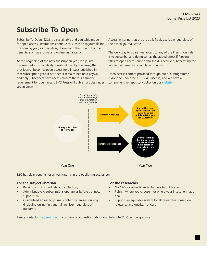## **Subscribe To Open**

Subscribe To Open (S2O) is a sustainable and equitable model for open access. Institutions continue to subscribe to journals for the coming year, as they always have (with the usual subscriber benefits, such as archive and online-first access).

At the beginning of the new subscription year, if a journal has reached a sustainability threshhold set by the Press, then that journal becomes open access for all issues published in that subscription year. If not then it remains behind a paywall and only subscribers have access. Where there is a funder requirement for open access EMS Press will publish articles under Green Open

Access, ensuring that the article is freely available regardless of the overall journal status.

The only way to guarantee access to any of the Press's journals is to subscribe, and doing so has the added effect if flipping titles to open access once a threshold is achieved, benefitting the whole mathematics research community.

Open access content provided through our S2O programme is done so under the CC-BY 4.0 license, and we have a comprehensive repository policy on our website.



S2O has clear benefits for all participants in the publishing ecosystem:

#### **For the subject librarian**

- Retain control of budgets and collection;
- Administratively, subscriptions operate as before but now support OA;
- Guaranteed access to journal content when subscribing (including online-first and full archive), regardless of outcome.

#### **For the researcher**

- No APCs or other financial barriers to publication;
- Publish where you choose, not where your institution has a deal;
- Support an equitable system for all researchers based on relevance and quality, not cost.

Please contact info@ems.press if you have any questions about our Subscribe To Open programme.